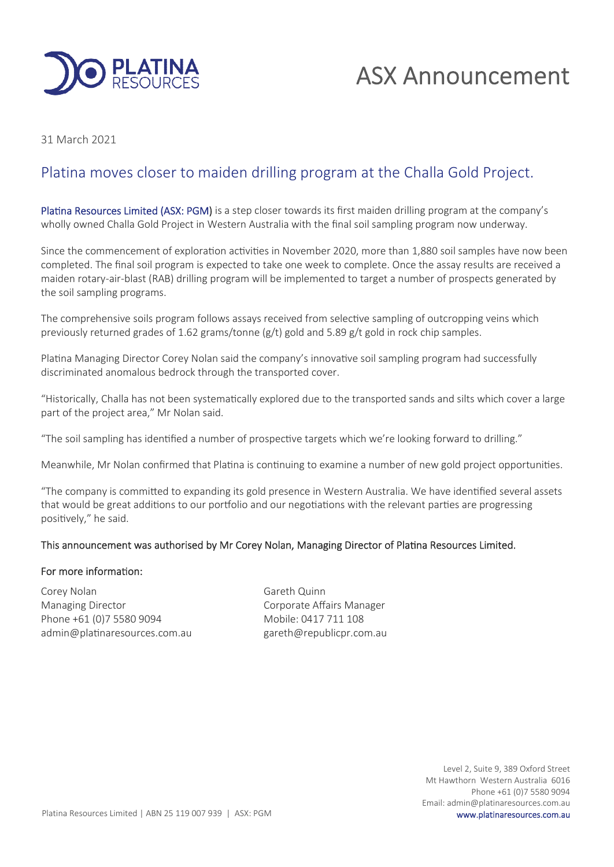

# ASX Announcement

31 March 2021

## Platina moves closer to maiden drilling program at the Challa Gold Project.

Platina Resources Limited (ASX: PGM) is a step closer towards its first maiden drilling program at the company's wholly owned Challa Gold Project in Western Australia with the final soil sampling program now underway.

Since the commencement of exploration activities in November 2020, more than 1,880 soil samples have now been completed. The final soil program is expected to take one week to complete. Once the assay results are received a maiden rotary-air-blast (RAB) drilling program will be implemented to target a number of prospects generated by the soil sampling programs.

The comprehensive soils program follows assays received from selective sampling of outcropping veins which previously returned grades of 1.62 grams/tonne (g/t) gold and 5.89 g/t gold in rock chip samples.

Platina Managing Director Corey Nolan said the company's innovative soil sampling program had successfully discriminated anomalous bedrock through the transported cover.

"Historically, Challa has not been systematically explored due to the transported sands and silts which cover a large part of the project area," Mr Nolan said.

"The soil sampling has identified a number of prospective targets which we're looking forward to drilling."

Meanwhile, Mr Nolan confirmed that Platina is continuing to examine a number of new gold project opportunities.

"The company is committed to expanding its gold presence in Western Australia. We have identified several assets that would be great additions to our portfolio and our negotiations with the relevant parties are progressing positively," he said.

#### This announcement was authorised by Mr Corey Nolan, Managing Director of Platina Resources Limited.

#### For more information:

Corey Nolan Gareth Quinn Managing Director **Communist Communist Corporate Affairs Manager** Phone +61 (0)7 5580 9094 Mobile: 0417 711 108 admin@platinaresources.com.au example gareth@republicpr.com.au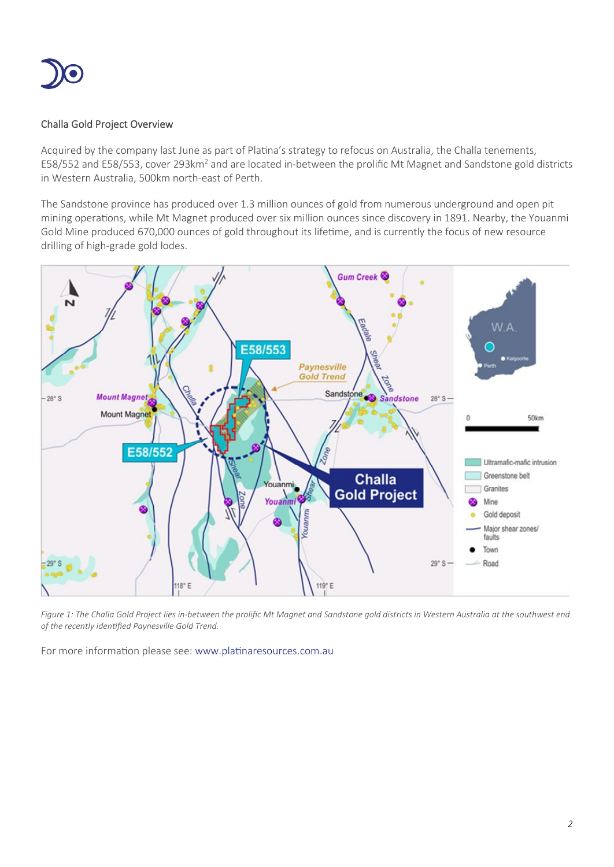

### Challa Gold Project Overview

Acquired by the company last June as part of Platina's strategy to refocus on Australia, the Challa tenements, E58/552 and E58/553, cover 293km<sup>2</sup> and are located in-between the prolific Mt Magnet and Sandstone gold districts in Western Australia, 500km north-east of Perth.

The Sandstone province has produced over 1.3 million ounces of gold from numerous underground and open pit mining operations, while Mt Magnet produced over six million ounces since discovery in 1891. Nearby, the Youanmi Gold Mine produced 670,000 ounces of gold throughout its lifetime, and is currently the focus of new resource drilling of high-grade gold lodes.



Figure 1: The Challa Gold Project lies in-between the prolific Mt Magnet and Sandstone gold districts in Western Australia at the southwest end *of the recently idenfied Paynesville Gold Trend.*

For more information please see: www.platinaresources.com.au